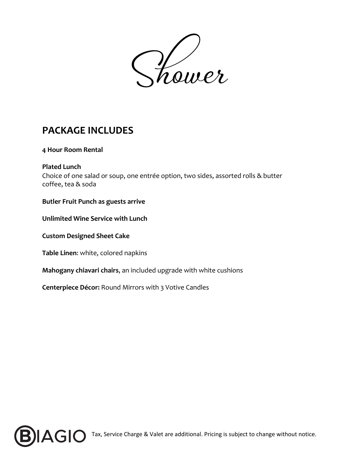Shower

# **PACKAGE INCLUDES**

## **4 Hour Room Rental**

**Plated Lunch** Choice of one salad or soup, one entrée option, two sides, assorted rolls & butter coffee, tea & soda

## **Butler Fruit Punch as guests arrive**

**Unlimited Wine Service with Lunch**

**Custom Designed Sheet Cake**

**Table Linen**: white, colored napkins

**Mahogany chiavari chairs**, an included upgrade with white cushions

**Centerpiece Décor:** Round Mirrors with 3 Votive Candles



**B B B** Tax, Service Charge & Valet are additional. Pricing is subject to change without notice.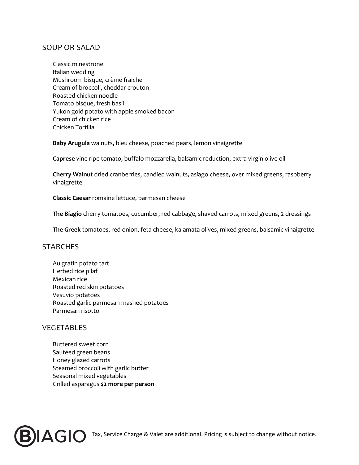# SOUP OR SALAD

Classic minestrone Italian wedding Mushroom bisque, crème fraiche Cream of broccoli, cheddar crouton Roasted chicken noodle Tomato bisque, fresh basil Yukon gold potato with apple smoked bacon Cream of chicken rice Chicken Tortilla

**Baby Arugula** walnuts, bleu cheese, poached pears, lemon vinaigrette

**Caprese** vine ripe tomato, buffalo mozzarella, balsamic reduction, extra virgin olive oil

**Cherry Walnut** dried cranberries, candied walnuts, asiago cheese, over mixed greens, raspberry vinaigrette

**Classic Caesar** romaine lettuce, parmesan cheese

**The Biagio** cherry tomatoes, cucumber, red cabbage, shaved carrots, mixed greens, 2 dressings

**The Greek** tomatoes, red onion, feta cheese, kalamata olives, mixed greens, balsamic vinaigrette

#### **STARCHES**

Au gratin potato tart Herbed rice pilaf Mexican rice Roasted red skin potatoes Vesuvio potatoes Roasted garlic parmesan mashed potatoes Parmesan risotto

#### VEGETABLES

Buttered sweet corn Sautéed green beans Honey glazed carrots Steamed broccoli with garlic butter Seasonal mixed vegetables Grilled asparagus **\$2 more per person**



**B B B Tax, Service Charge & Valet are additional. Pricing is subject to change without notice.**